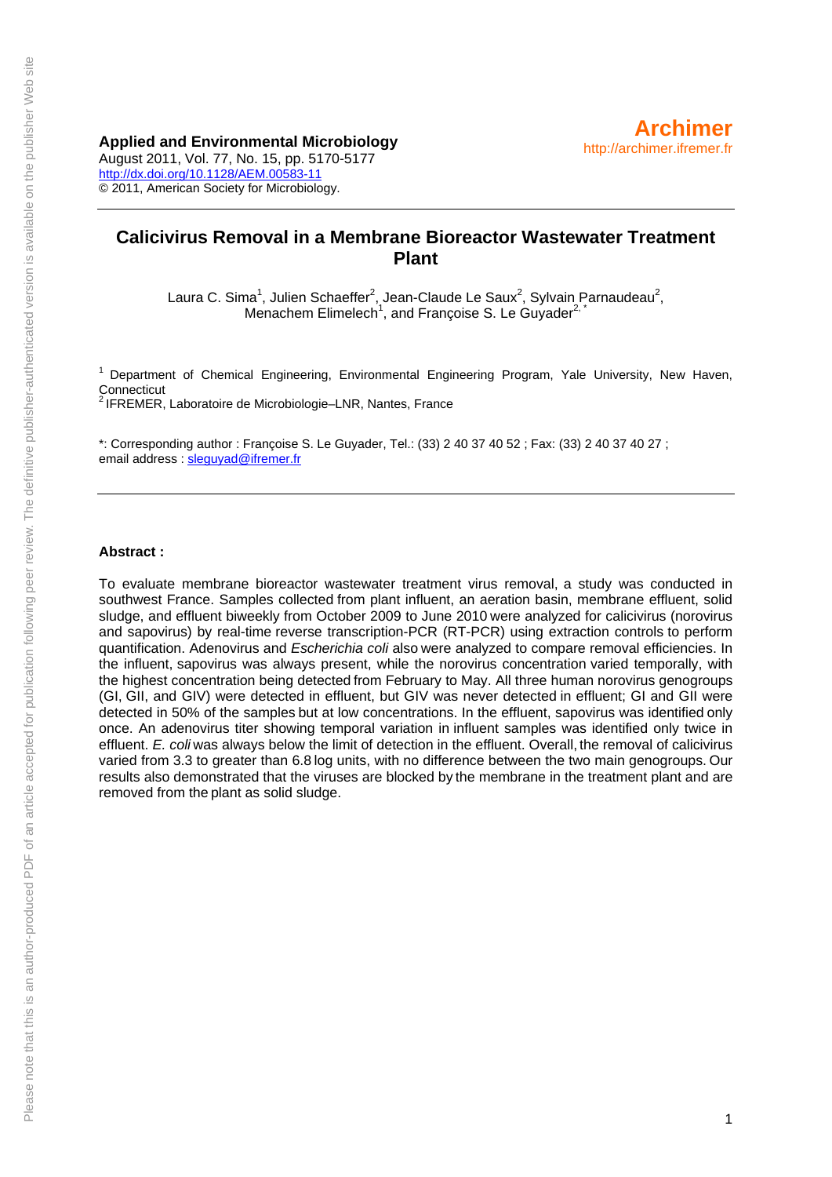### **Applied and Environmental Microbiology**

August 2011, Vol. 77, No. 15, pp. 5170-5177 <http://dx.doi.org/10.1128/AEM.00583-11> © 2011, American Society for Microbiology.

# **Calicivirus Removal in a Membrane Bioreactor Wastewater Treatment Plant**

Laura C. Sima<sup>1</sup>, Julien Schaeffer<sup>2</sup>, Jean-Claude Le Saux<sup>2</sup>, Sylvain Parnaudeau<sup>2</sup>, Menachem Elimelech<sup>1</sup>, and Françoise S. Le Guyader<sup>2,\*</sup>

<sup>1</sup> Department of Chemical Engineering, Environmental Engineering Program, Yale University, New Haven, Connecticut

2 IFREMER, Laboratoire de Microbiologie–LNR, Nantes, France

\*: Corresponding author : Françoise S. Le Guyader, Tel.: (33) 2 40 37 40 52 ; Fax: (33) 2 40 37 40 27 ; email address : [sleguyad@ifremer.fr](mailto:sleguyad@ifremer.fr)

#### **Abstract :**

To evaluate membrane bioreactor wastewater treatment virus removal, a study was conducted in southwest France. Samples collected from plant influent, an aeration basin, membrane effluent, solid sludge, and effluent biweekly from October 2009 to June 2010 were analyzed for calicivirus (norovirus and sapovirus) by real-time reverse transcription-PCR (RT-PCR) using extraction controls to perform quantification. Adenovirus and *Escherichia coli* also were analyzed to compare removal efficiencies. In the influent, sapovirus was always present, while the norovirus concentration varied temporally, with the highest concentration being detected from February to May. All three human norovirus genogroups (GI, GII, and GIV) were detected in effluent, but GIV was never detected in effluent; GI and GII were detected in 50% of the samples but at low concentrations. In the effluent, sapovirus was identified only once. An adenovirus titer showing temporal variation in influent samples was identified only twice in effluent. *E. coli* was always below the limit of detection in the effluent. Overall, the removal of calicivirus varied from 3.3 to greater than 6.8 log units, with no difference between the two main genogroups. Our results also demonstrated that the viruses are blocked by the membrane in the treatment plant and are removed from the plant as solid sludge.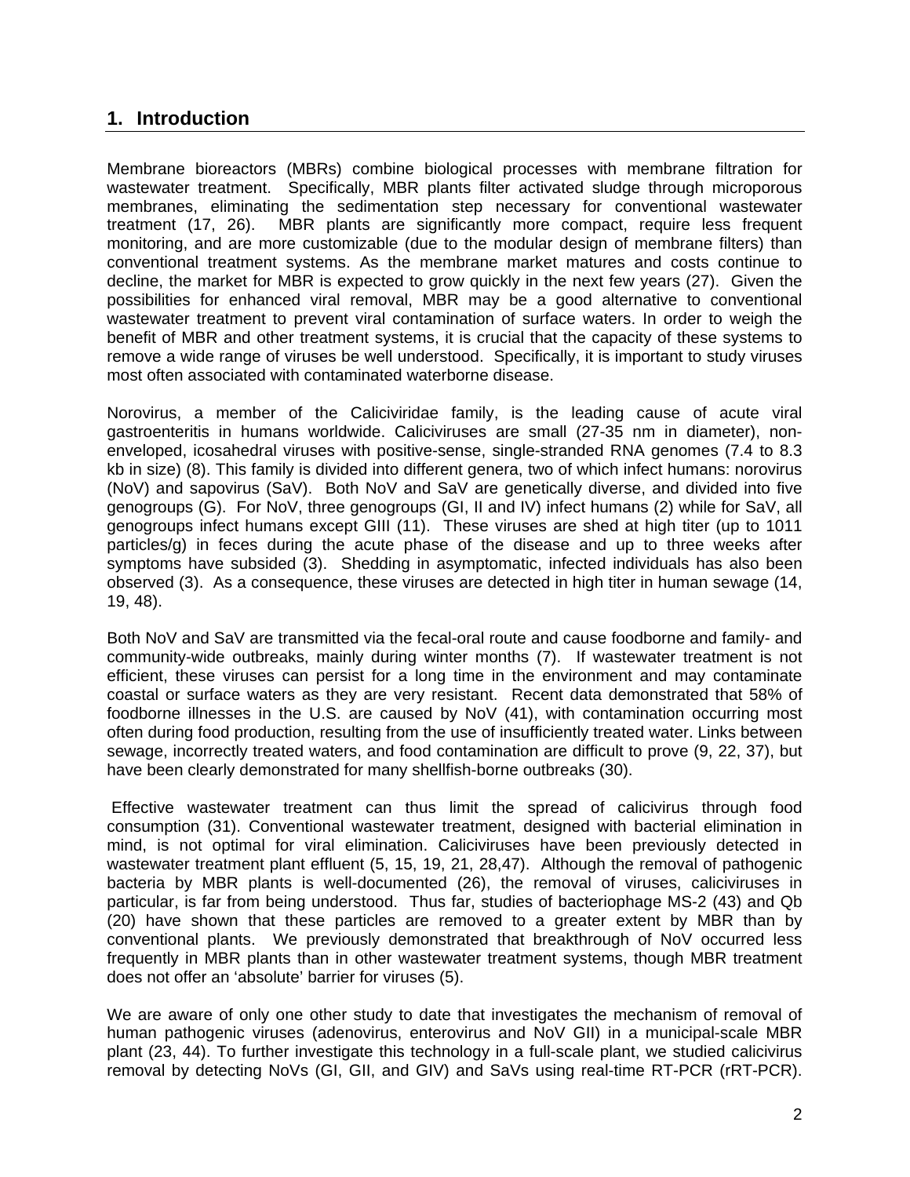# **1. Introduction**

Membrane bioreactors (MBRs) combine biological processes with membrane filtration for wastewater treatment. Specifically, MBR plants filter activated sludge through microporous membranes, eliminating the sedimentation step necessary for conventional wastewater treatment (17, 26). MBR plants are significantly more compact, require less frequent monitoring, and are more customizable (due to the modular design of membrane filters) than conventional treatment systems. As the membrane market matures and costs continue to decline, the market for MBR is expected to grow quickly in the next few years (27). Given the possibilities for enhanced viral removal, MBR may be a good alternative to conventional wastewater treatment to prevent viral contamination of surface waters. In order to weigh the benefit of MBR and other treatment systems, it is crucial that the capacity of these systems to remove a wide range of viruses be well understood. Specifically, it is important to study viruses most often associated with contaminated waterborne disease.

Norovirus, a member of the Caliciviridae family, is the leading cause of acute viral gastroenteritis in humans worldwide. Caliciviruses are small (27-35 nm in diameter), nonenveloped, icosahedral viruses with positive-sense, single-stranded RNA genomes (7.4 to 8.3 kb in size) (8). This family is divided into different genera, two of which infect humans: norovirus (NoV) and sapovirus (SaV). Both NoV and SaV are genetically diverse, and divided into five genogroups (G). For NoV, three genogroups (GI, II and IV) infect humans (2) while for SaV, all genogroups infect humans except GIII (11). These viruses are shed at high titer (up to 1011 particles/g) in feces during the acute phase of the disease and up to three weeks after symptoms have subsided (3). Shedding in asymptomatic, infected individuals has also been observed (3). As a consequence, these viruses are detected in high titer in human sewage (14, 19, 48).

Both NoV and SaV are transmitted via the fecal-oral route and cause foodborne and family- and community-wide outbreaks, mainly during winter months (7). If wastewater treatment is not efficient, these viruses can persist for a long time in the environment and may contaminate coastal or surface waters as they are very resistant. Recent data demonstrated that 58% of foodborne illnesses in the U.S. are caused by NoV (41), with contamination occurring most often during food production, resulting from the use of insufficiently treated water. Links between sewage, incorrectly treated waters, and food contamination are difficult to prove (9, 22, 37), but have been clearly demonstrated for many shellfish-borne outbreaks (30).

 Effective wastewater treatment can thus limit the spread of calicivirus through food consumption (31). Conventional wastewater treatment, designed with bacterial elimination in mind, is not optimal for viral elimination. Caliciviruses have been previously detected in wastewater treatment plant effluent (5, 15, 19, 21, 28,47). Although the removal of pathogenic bacteria by MBR plants is well-documented (26), the removal of viruses, caliciviruses in particular, is far from being understood. Thus far, studies of bacteriophage MS-2 (43) and Qb (20) have shown that these particles are removed to a greater extent by MBR than by conventional plants. We previously demonstrated that breakthrough of NoV occurred less frequently in MBR plants than in other wastewater treatment systems, though MBR treatment does not offer an 'absolute' barrier for viruses (5).

We are aware of only one other study to date that investigates the mechanism of removal of human pathogenic viruses (adenovirus, enterovirus and NoV GII) in a municipal-scale MBR plant (23, 44). To further investigate this technology in a full-scale plant, we studied calicivirus removal by detecting NoVs (GI, GII, and GIV) and SaVs using real-time RT-PCR (rRT-PCR).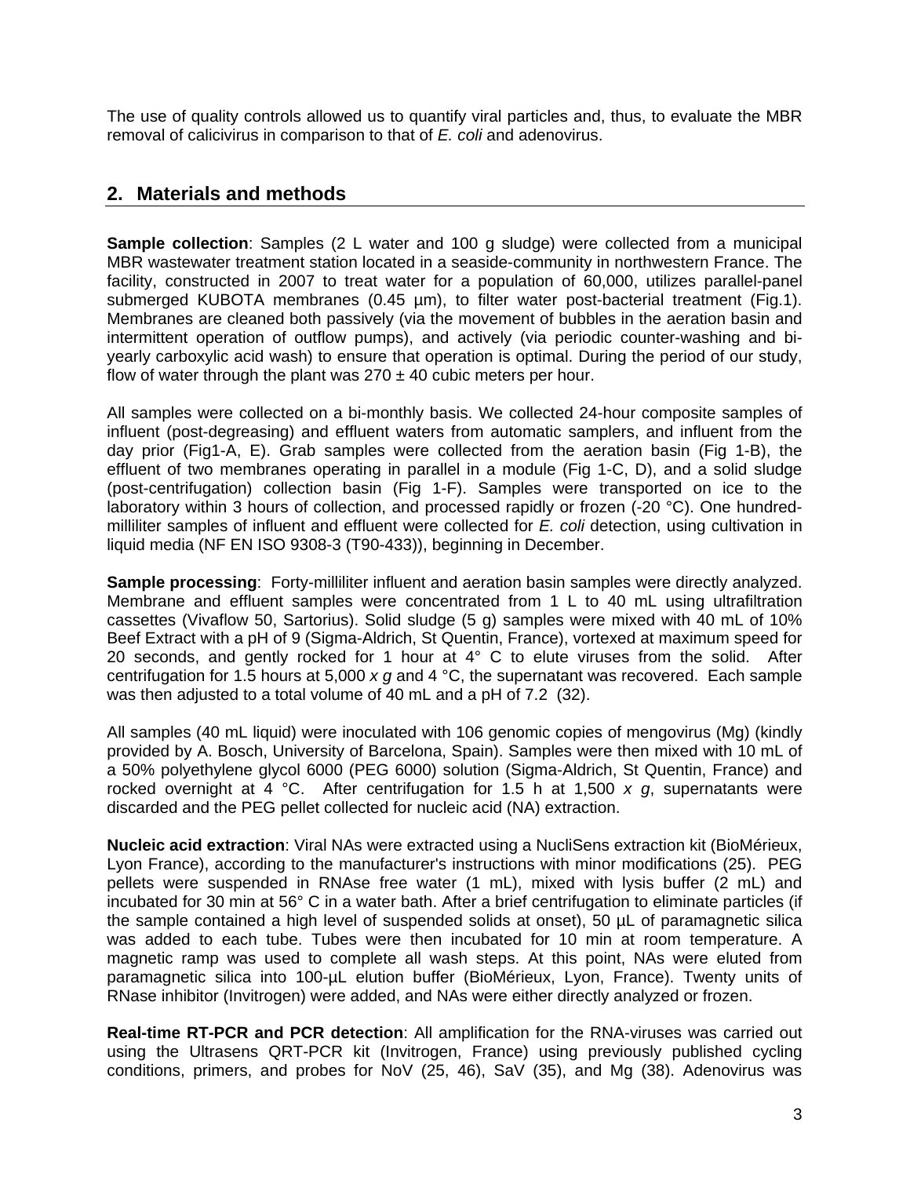The use of quality controls allowed us to quantify viral particles and, thus, to evaluate the MBR removal of calicivirus in comparison to that of *E. coli* and adenovirus.

# **2. Materials and methods**

**Sample collection**: Samples (2 L water and 100 g sludge) were collected from a municipal MBR wastewater treatment station located in a seaside-community in northwestern France. The facility, constructed in 2007 to treat water for a population of 60,000, utilizes parallel-panel submerged KUBOTA membranes (0.45 µm), to filter water post-bacterial treatment (Fig.1). Membranes are cleaned both passively (via the movement of bubbles in the aeration basin and intermittent operation of outflow pumps), and actively (via periodic counter-washing and biyearly carboxylic acid wash) to ensure that operation is optimal. During the period of our study, flow of water through the plant was  $270 \pm 40$  cubic meters per hour.

All samples were collected on a bi-monthly basis. We collected 24-hour composite samples of influent (post-degreasing) and effluent waters from automatic samplers, and influent from the day prior (Fig1-A, E). Grab samples were collected from the aeration basin (Fig 1-B), the effluent of two membranes operating in parallel in a module (Fig 1-C, D), and a solid sludge (post-centrifugation) collection basin (Fig 1-F). Samples were transported on ice to the laboratory within 3 hours of collection, and processed rapidly or frozen (-20 °C). One hundredmilliliter samples of influent and effluent were collected for *E. coli* detection, using cultivation in liquid media (NF EN ISO 9308-3 (T90-433)), beginning in December.

**Sample processing**: Forty-milliliter influent and aeration basin samples were directly analyzed. Membrane and effluent samples were concentrated from 1 L to 40 mL using ultrafiltration cassettes (Vivaflow 50, Sartorius). Solid sludge (5 g) samples were mixed with 40 mL of 10% Beef Extract with a pH of 9 (Sigma-Aldrich, St Quentin, France), vortexed at maximum speed for 20 seconds, and gently rocked for 1 hour at  $4^{\circ}$  C to elute viruses from the solid. After centrifugation for 1.5 hours at 5,000 *x g* and 4 °C, the supernatant was recovered. Each sample was then adjusted to a total volume of 40 mL and a pH of 7.2 (32).

All samples (40 mL liquid) were inoculated with 106 genomic copies of mengovirus (Mg) (kindly provided by A. Bosch, University of Barcelona, Spain). Samples were then mixed with 10 mL of a 50% polyethylene glycol 6000 (PEG 6000) solution (Sigma-Aldrich, St Quentin, France) and rocked overnight at 4 °C. After centrifugation for 1.5 h at 1,500 *x g*, supernatants were discarded and the PEG pellet collected for nucleic acid (NA) extraction.

**Nucleic acid extraction**: Viral NAs were extracted using a NucliSens extraction kit (BioMérieux, Lyon France), according to the manufacturer's instructions with minor modifications (25). PEG pellets were suspended in RNAse free water (1 mL), mixed with lysis buffer (2 mL) and incubated for 30 min at 56° C in a water bath. After a brief centrifugation to eliminate particles (if the sample contained a high level of suspended solids at onset), 50 µL of paramagnetic silica was added to each tube. Tubes were then incubated for 10 min at room temperature. A magnetic ramp was used to complete all wash steps. At this point, NAs were eluted from paramagnetic silica into 100-µL elution buffer (BioMérieux, Lyon, France). Twenty units of RNase inhibitor (Invitrogen) were added, and NAs were either directly analyzed or frozen.

**Real-time RT-PCR and PCR detection**: All amplification for the RNA-viruses was carried out using the Ultrasens QRT-PCR kit (Invitrogen, France) using previously published cycling conditions, primers, and probes for NoV (25, 46), SaV (35), and Mg (38). Adenovirus was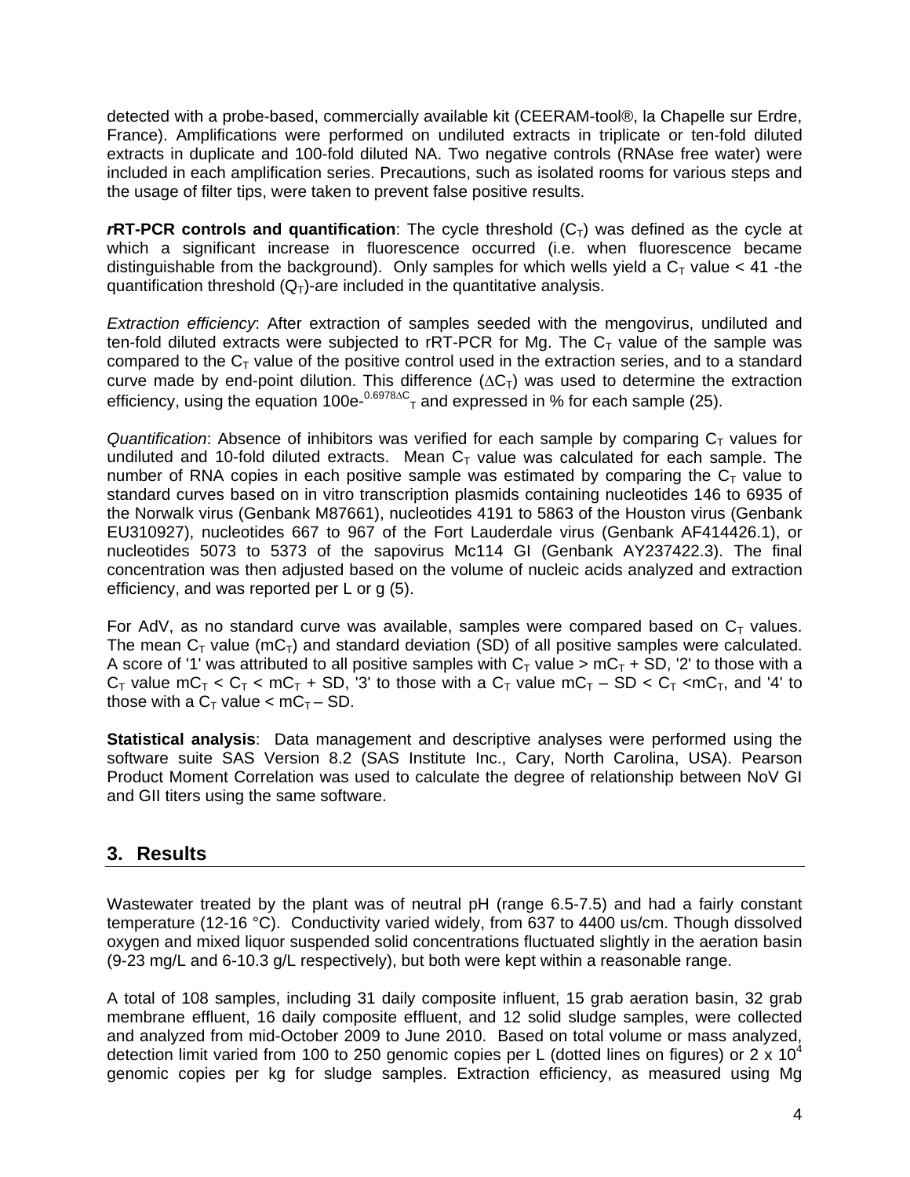detected with a probe-based, commercially available kit (CEERAM-tool®, la Chapelle sur Erdre, France). Amplifications were performed on undiluted extracts in triplicate or ten-fold diluted extracts in duplicate and 100-fold diluted NA. Two negative controls (RNAse free water) were included in each amplification series. Precautions, such as isolated rooms for various steps and the usage of filter tips, were taken to prevent false positive results.

 $r$ **RT-PCR controls and quantification**: The cycle threshold  $(C_T)$  was defined as the cycle at which a significant increase in fluorescence occurred (i.e. when fluorescence became distinguishable from the background). Only samples for which wells yield a  $C<sub>T</sub>$  value < 41 -the quantification threshold  $(Q_T)$ -are included in the quantitative analysis.

*Extraction efficiency*: After extraction of samples seeded with the mengovirus, undiluted and ten-fold diluted extracts were subjected to rRT-PCR for Mg. The  $C<sub>T</sub>$  value of the sample was compared to the  $C<sub>T</sub>$  value of the positive control used in the extraction series, and to a standard curve made by end-point dilution. This difference  $(\Delta C_T)$  was used to determine the extraction efficiency, using the equation 100e- $0.6978\text{AC}$ <sub>T</sub> and expressed in % for each sample (25).

*Quantification*: Absence of inhibitors was verified for each sample by comparing  $C<sub>T</sub>$  values for undiluted and 10-fold diluted extracts. Mean  $C<sub>T</sub>$  value was calculated for each sample. The number of RNA copies in each positive sample was estimated by comparing the  $C_T$  value to standard curves based on in vitro transcription plasmids containing nucleotides 146 to 6935 of the Norwalk virus (Genbank M87661), nucleotides 4191 to 5863 of the Houston virus (Genbank EU310927), nucleotides 667 to 967 of the Fort Lauderdale virus (Genbank AF414426.1), or nucleotides 5073 to 5373 of the sapovirus Mc114 GI (Genbank AY237422.3). The final concentration was then adjusted based on the volume of nucleic acids analyzed and extraction efficiency, and was reported per L or g (5).

For AdV, as no standard curve was available, samples were compared based on  $C_T$  values. The mean  $C_T$  value (m $C_T$ ) and standard deviation (SD) of all positive samples were calculated. A score of '1' was attributed to all positive samples with  $C_T$  value >  $mC_T + SD$ , '2' to those with a  $C_T$  value  $mC_T < C_T < mC_T + SD$ , '3' to those with a  $C_T$  value  $mC_T - SD < C_T < mC_T$ , and '4' to those with a  $C_T$  value  $\lt mC_T - SD$ .

**Statistical analysis**: Data management and descriptive analyses were performed using the software suite SAS Version 8.2 (SAS Institute Inc., Cary, North Carolina, USA). Pearson Product Moment Correlation was used to calculate the degree of relationship between NoV GI and GII titers using the same software.

# **3. Results**

Wastewater treated by the plant was of neutral pH (range 6.5-7.5) and had a fairly constant temperature (12-16 °C). Conductivity varied widely, from 637 to 4400 us/cm. Though dissolved oxygen and mixed liquor suspended solid concentrations fluctuated slightly in the aeration basin (9-23 mg/L and 6-10.3 g/L respectively), but both were kept within a reasonable range.

A total of 108 samples, including 31 daily composite influent, 15 grab aeration basin, 32 grab membrane effluent, 16 daily composite effluent, and 12 solid sludge samples, were collected and analyzed from mid-October 2009 to June 2010. Based on total volume or mass analyzed, detection limit varied from 100 to 250 genomic copies per L (dotted lines on figures) or 2 x 10<sup>4</sup> genomic copies per kg for sludge samples. Extraction efficiency, as measured using Mg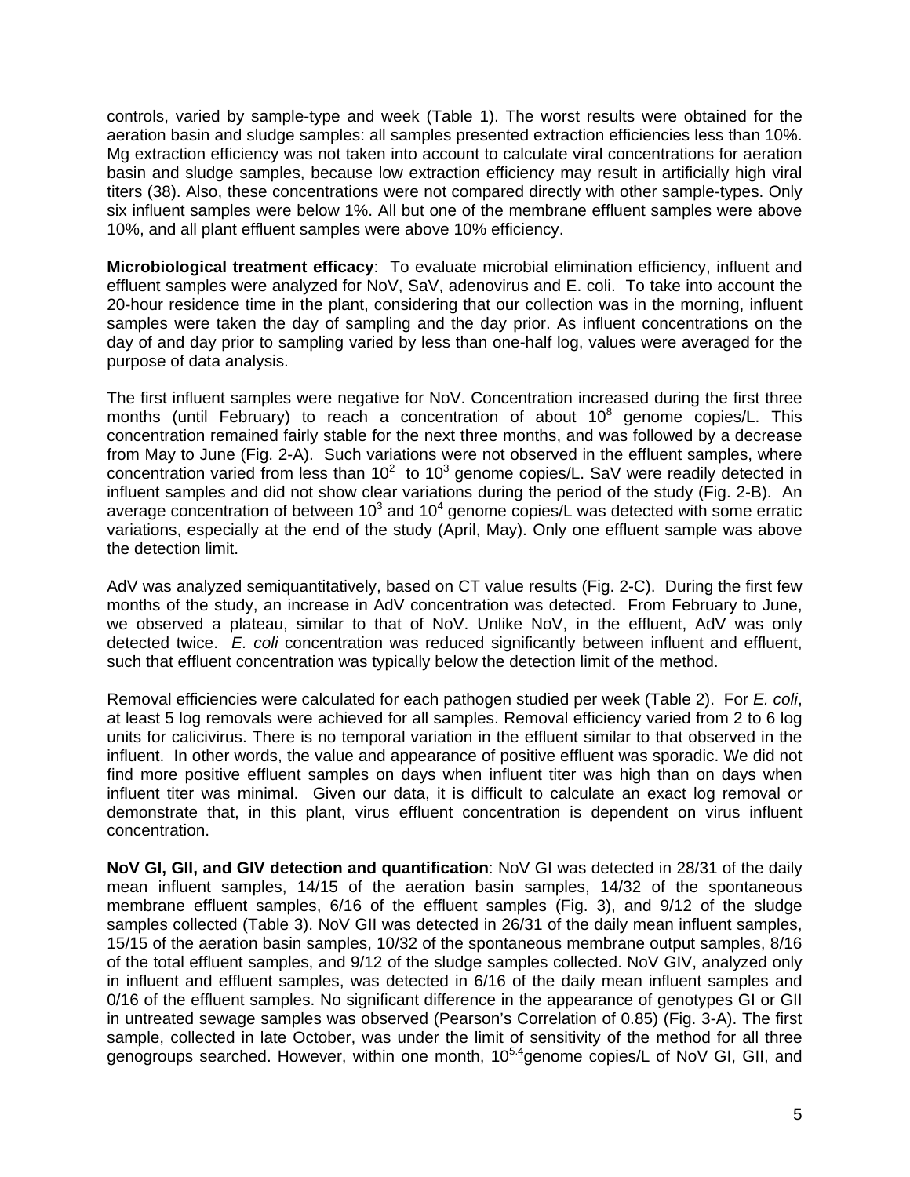controls, varied by sample-type and week (Table 1). The worst results were obtained for the aeration basin and sludge samples: all samples presented extraction efficiencies less than 10%. Mg extraction efficiency was not taken into account to calculate viral concentrations for aeration basin and sludge samples, because low extraction efficiency may result in artificially high viral titers (38). Also, these concentrations were not compared directly with other sample-types. Only six influent samples were below 1%. All but one of the membrane effluent samples were above 10%, and all plant effluent samples were above 10% efficiency.

**Microbiological treatment efficacy**: To evaluate microbial elimination efficiency, influent and effluent samples were analyzed for NoV, SaV, adenovirus and E. coli. To take into account the 20-hour residence time in the plant, considering that our collection was in the morning, influent samples were taken the day of sampling and the day prior. As influent concentrations on the day of and day prior to sampling varied by less than one-half log, values were averaged for the purpose of data analysis.

The first influent samples were negative for NoV. Concentration increased during the first three months (until February) to reach a concentration of about  $10^8$  genome copies/L. This concentration remained fairly stable for the next three months, and was followed by a decrease from May to June (Fig. 2-A). Such variations were not observed in the effluent samples, where concentration varied from less than  $10^2$  to  $10^3$  genome copies/L. SaV were readily detected in influent samples and did not show clear variations during the period of the study (Fig. 2-B). An average concentration of between 10<sup>3</sup> and 10<sup>4</sup> genome copies/L was detected with some erratic variations, especially at the end of the study (April, May). Only one effluent sample was above the detection limit.

AdV was analyzed semiquantitatively, based on CT value results (Fig. 2-C). During the first few months of the study, an increase in AdV concentration was detected. From February to June, we observed a plateau, similar to that of NoV. Unlike NoV, in the effluent, AdV was only detected twice. *E. coli* concentration was reduced significantly between influent and effluent, such that effluent concentration was typically below the detection limit of the method.

Removal efficiencies were calculated for each pathogen studied per week (Table 2). For *E. coli*, at least 5 log removals were achieved for all samples. Removal efficiency varied from 2 to 6 log units for calicivirus. There is no temporal variation in the effluent similar to that observed in the influent. In other words, the value and appearance of positive effluent was sporadic. We did not find more positive effluent samples on days when influent titer was high than on days when influent titer was minimal. Given our data, it is difficult to calculate an exact log removal or demonstrate that, in this plant, virus effluent concentration is dependent on virus influent concentration.

**NoV GI, GII, and GIV detection and quantification**: NoV GI was detected in 28/31 of the daily mean influent samples, 14/15 of the aeration basin samples, 14/32 of the spontaneous membrane effluent samples, 6/16 of the effluent samples (Fig. 3), and 9/12 of the sludge samples collected (Table 3). NoV GII was detected in 26/31 of the daily mean influent samples, 15/15 of the aeration basin samples, 10/32 of the spontaneous membrane output samples, 8/16 of the total effluent samples, and 9/12 of the sludge samples collected. NoV GIV, analyzed only in influent and effluent samples, was detected in 6/16 of the daily mean influent samples and 0/16 of the effluent samples. No significant difference in the appearance of genotypes GI or GII in untreated sewage samples was observed (Pearson's Correlation of 0.85) (Fig. 3-A). The first sample, collected in late October, was under the limit of sensitivity of the method for all three genogroups searched. However, within one month,  $10^{5.4}$ genome copies/L of NoV GI, GII, and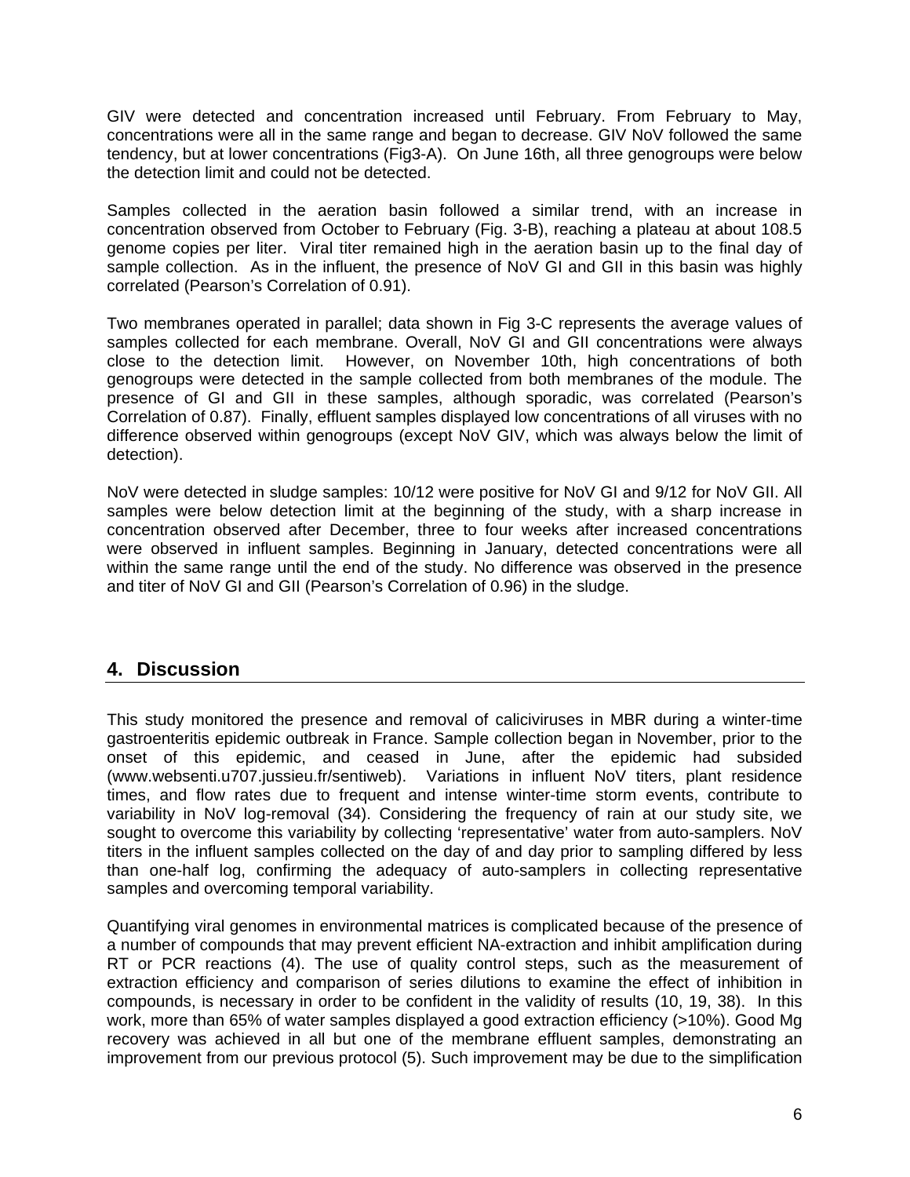GIV were detected and concentration increased until February. From February to May, concentrations were all in the same range and began to decrease. GIV NoV followed the same tendency, but at lower concentrations (Fig3-A). On June 16th, all three genogroups were below the detection limit and could not be detected.

Samples collected in the aeration basin followed a similar trend, with an increase in concentration observed from October to February (Fig. 3-B), reaching a plateau at about 108.5 genome copies per liter. Viral titer remained high in the aeration basin up to the final day of sample collection. As in the influent, the presence of NoV GI and GII in this basin was highly correlated (Pearson's Correlation of 0.91).

Two membranes operated in parallel; data shown in Fig 3-C represents the average values of samples collected for each membrane. Overall, NoV GI and GII concentrations were always close to the detection limit. However, on November 10th, high concentrations of both genogroups were detected in the sample collected from both membranes of the module. The presence of GI and GII in these samples, although sporadic, was correlated (Pearson's Correlation of 0.87). Finally, effluent samples displayed low concentrations of all viruses with no difference observed within genogroups (except NoV GIV, which was always below the limit of detection).

NoV were detected in sludge samples: 10/12 were positive for NoV GI and 9/12 for NoV GII. All samples were below detection limit at the beginning of the study, with a sharp increase in concentration observed after December, three to four weeks after increased concentrations were observed in influent samples. Beginning in January, detected concentrations were all within the same range until the end of the study. No difference was observed in the presence and titer of NoV GI and GII (Pearson's Correlation of 0.96) in the sludge.

# **4. Discussion**

This study monitored the presence and removal of caliciviruses in MBR during a winter-time gastroenteritis epidemic outbreak in France. Sample collection began in November, prior to the onset of this epidemic, and ceased in June, after the epidemic had subsided ([www.websenti.u707.jussieu.fr/sentiweb\)](http://www.websenti.u707.jussieu.fr/sentiweb). Variations in influent NoV titers, plant residence times, and flow rates due to frequent and intense winter-time storm events, contribute to variability in NoV log-removal (34). Considering the frequency of rain at our study site, we sought to overcome this variability by collecting 'representative' water from auto-samplers. NoV titers in the influent samples collected on the day of and day prior to sampling differed by less than one-half log, confirming the adequacy of auto-samplers in collecting representative samples and overcoming temporal variability.

Quantifying viral genomes in environmental matrices is complicated because of the presence of a number of compounds that may prevent efficient NA-extraction and inhibit amplification during RT or PCR reactions (4). The use of quality control steps, such as the measurement of extraction efficiency and comparison of series dilutions to examine the effect of inhibition in compounds, is necessary in order to be confident in the validity of results (10, 19, 38). In this work, more than 65% of water samples displayed a good extraction efficiency (>10%). Good Mg recovery was achieved in all but one of the membrane effluent samples, demonstrating an improvement from our previous protocol (5). Such improvement may be due to the simplification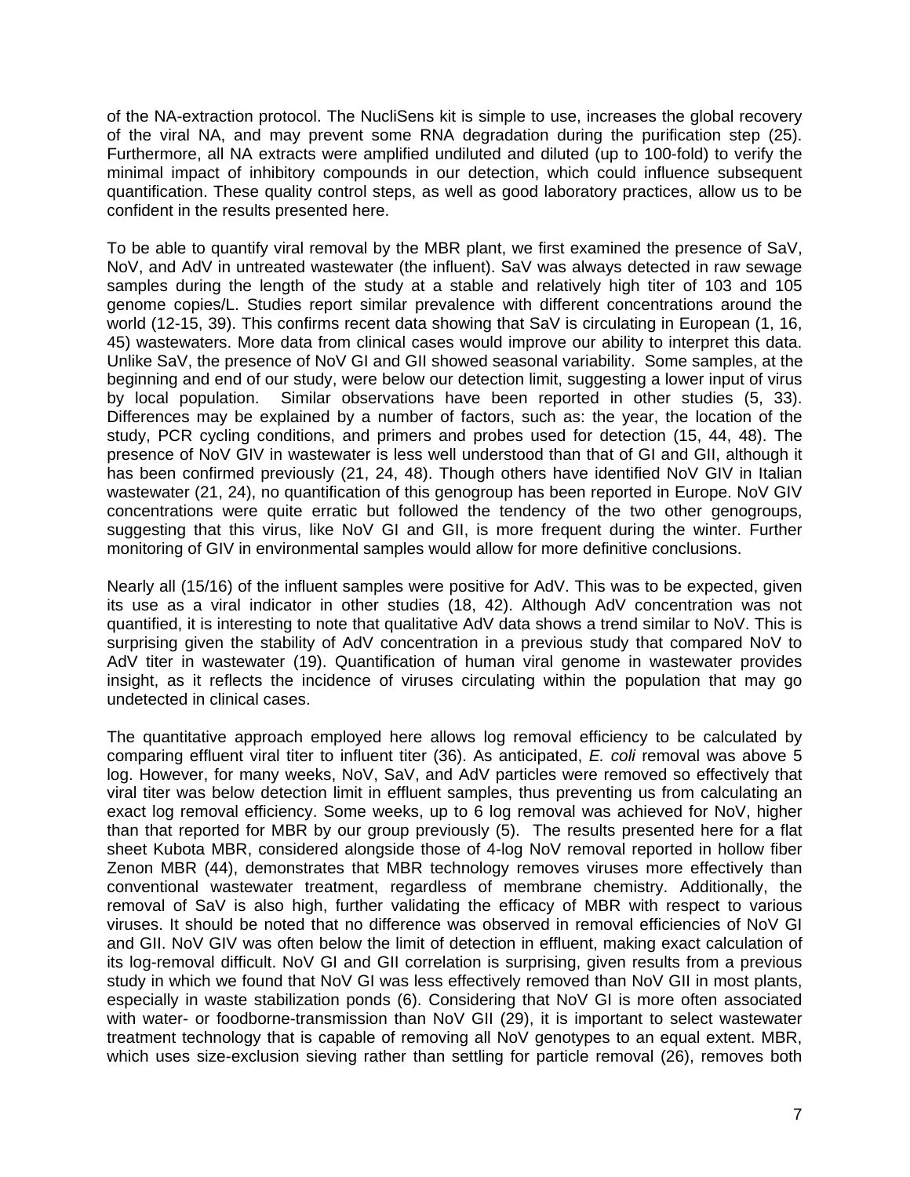of the NA-extraction protocol. The NucliSens kit is simple to use, increases the global recovery of the viral NA, and may prevent some RNA degradation during the purification step (25). Furthermore, all NA extracts were amplified undiluted and diluted (up to 100-fold) to verify the minimal impact of inhibitory compounds in our detection, which could influence subsequent quantification. These quality control steps, as well as good laboratory practices, allow us to be confident in the results presented here.

To be able to quantify viral removal by the MBR plant, we first examined the presence of SaV, NoV, and AdV in untreated wastewater (the influent). SaV was always detected in raw sewage samples during the length of the study at a stable and relatively high titer of 103 and 105 genome copies/L. Studies report similar prevalence with different concentrations around the world (12-15, 39). This confirms recent data showing that SaV is circulating in European (1, 16, 45) wastewaters. More data from clinical cases would improve our ability to interpret this data. Unlike SaV, the presence of NoV GI and GII showed seasonal variability. Some samples, at the beginning and end of our study, were below our detection limit, suggesting a lower input of virus by local population. Similar observations have been reported in other studies (5, 33). Differences may be explained by a number of factors, such as: the year, the location of the study, PCR cycling conditions, and primers and probes used for detection (15, 44, 48). The presence of NoV GIV in wastewater is less well understood than that of GI and GII, although it has been confirmed previously (21, 24, 48). Though others have identified NoV GIV in Italian wastewater (21, 24), no quantification of this genogroup has been reported in Europe. NoV GIV concentrations were quite erratic but followed the tendency of the two other genogroups, suggesting that this virus, like NoV GI and GII, is more frequent during the winter. Further monitoring of GIV in environmental samples would allow for more definitive conclusions.

Nearly all (15/16) of the influent samples were positive for AdV. This was to be expected, given its use as a viral indicator in other studies (18, 42). Although AdV concentration was not quantified, it is interesting to note that qualitative AdV data shows a trend similar to NoV. This is surprising given the stability of AdV concentration in a previous study that compared NoV to AdV titer in wastewater (19). Quantification of human viral genome in wastewater provides insight, as it reflects the incidence of viruses circulating within the population that may go undetected in clinical cases.

The quantitative approach employed here allows log removal efficiency to be calculated by comparing effluent viral titer to influent titer (36). As anticipated, *E. coli* removal was above 5 log. However, for many weeks, NoV, SaV, and AdV particles were removed so effectively that viral titer was below detection limit in effluent samples, thus preventing us from calculating an exact log removal efficiency. Some weeks, up to 6 log removal was achieved for NoV, higher than that reported for MBR by our group previously (5). The results presented here for a flat sheet Kubota MBR, considered alongside those of 4-log NoV removal reported in hollow fiber Zenon MBR (44), demonstrates that MBR technology removes viruses more effectively than conventional wastewater treatment, regardless of membrane chemistry. Additionally, the removal of SaV is also high, further validating the efficacy of MBR with respect to various viruses. It should be noted that no difference was observed in removal efficiencies of NoV GI and GII. NoV GIV was often below the limit of detection in effluent, making exact calculation of its log-removal difficult. NoV GI and GII correlation is surprising, given results from a previous study in which we found that NoV GI was less effectively removed than NoV GII in most plants, especially in waste stabilization ponds (6). Considering that NoV GI is more often associated with water- or foodborne-transmission than NoV GII (29), it is important to select wastewater treatment technology that is capable of removing all NoV genotypes to an equal extent. MBR, which uses size-exclusion sieving rather than settling for particle removal (26), removes both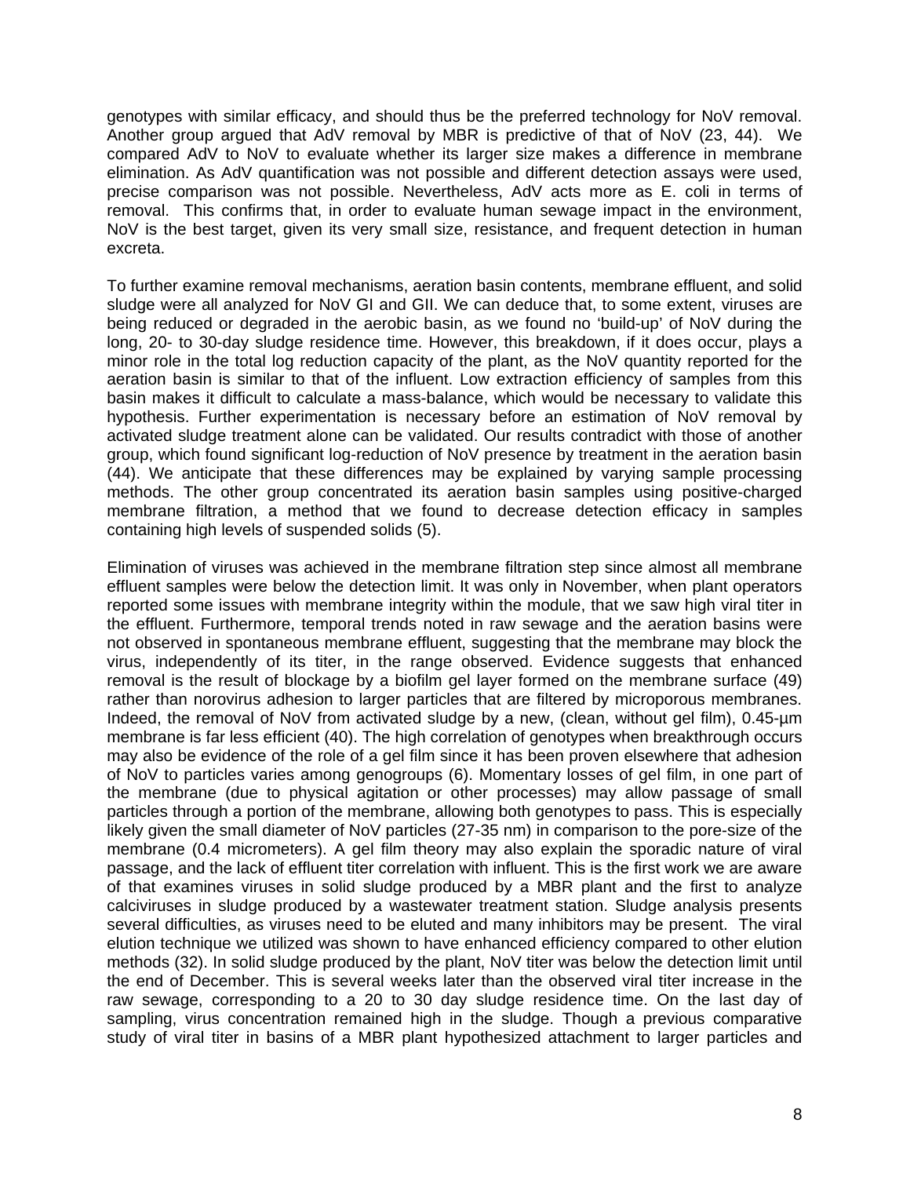genotypes with similar efficacy, and should thus be the preferred technology for NoV removal. Another group argued that AdV removal by MBR is predictive of that of NoV (23, 44). We compared AdV to NoV to evaluate whether its larger size makes a difference in membrane elimination. As AdV quantification was not possible and different detection assays were used, precise comparison was not possible. Nevertheless, AdV acts more as E. coli in terms of removal. This confirms that, in order to evaluate human sewage impact in the environment, NoV is the best target, given its very small size, resistance, and frequent detection in human excreta.

To further examine removal mechanisms, aeration basin contents, membrane effluent, and solid sludge were all analyzed for NoV GI and GII. We can deduce that, to some extent, viruses are being reduced or degraded in the aerobic basin, as we found no 'build-up' of NoV during the long, 20- to 30-day sludge residence time. However, this breakdown, if it does occur, plays a minor role in the total log reduction capacity of the plant, as the NoV quantity reported for the aeration basin is similar to that of the influent. Low extraction efficiency of samples from this basin makes it difficult to calculate a mass-balance, which would be necessary to validate this hypothesis. Further experimentation is necessary before an estimation of NoV removal by activated sludge treatment alone can be validated. Our results contradict with those of another group, which found significant log-reduction of NoV presence by treatment in the aeration basin (44). We anticipate that these differences may be explained by varying sample processing methods. The other group concentrated its aeration basin samples using positive-charged membrane filtration, a method that we found to decrease detection efficacy in samples containing high levels of suspended solids (5).

Elimination of viruses was achieved in the membrane filtration step since almost all membrane effluent samples were below the detection limit. It was only in November, when plant operators reported some issues with membrane integrity within the module, that we saw high viral titer in the effluent. Furthermore, temporal trends noted in raw sewage and the aeration basins were not observed in spontaneous membrane effluent, suggesting that the membrane may block the virus, independently of its titer, in the range observed. Evidence suggests that enhanced removal is the result of blockage by a biofilm gel layer formed on the membrane surface (49) rather than norovirus adhesion to larger particles that are filtered by microporous membranes. Indeed, the removal of NoV from activated sludge by a new, (clean, without gel film), 0.45-µm membrane is far less efficient (40). The high correlation of genotypes when breakthrough occurs may also be evidence of the role of a gel film since it has been proven elsewhere that adhesion of NoV to particles varies among genogroups (6). Momentary losses of gel film, in one part of the membrane (due to physical agitation or other processes) may allow passage of small particles through a portion of the membrane, allowing both genotypes to pass. This is especially likely given the small diameter of NoV particles (27-35 nm) in comparison to the pore-size of the membrane (0.4 micrometers). A gel film theory may also explain the sporadic nature of viral passage, and the lack of effluent titer correlation with influent. This is the first work we are aware of that examines viruses in solid sludge produced by a MBR plant and the first to analyze calciviruses in sludge produced by a wastewater treatment station. Sludge analysis presents several difficulties, as viruses need to be eluted and many inhibitors may be present. The viral elution technique we utilized was shown to have enhanced efficiency compared to other elution methods (32). In solid sludge produced by the plant, NoV titer was below the detection limit until the end of December. This is several weeks later than the observed viral titer increase in the raw sewage, corresponding to a 20 to 30 day sludge residence time. On the last day of sampling, virus concentration remained high in the sludge. Though a previous comparative study of viral titer in basins of a MBR plant hypothesized attachment to larger particles and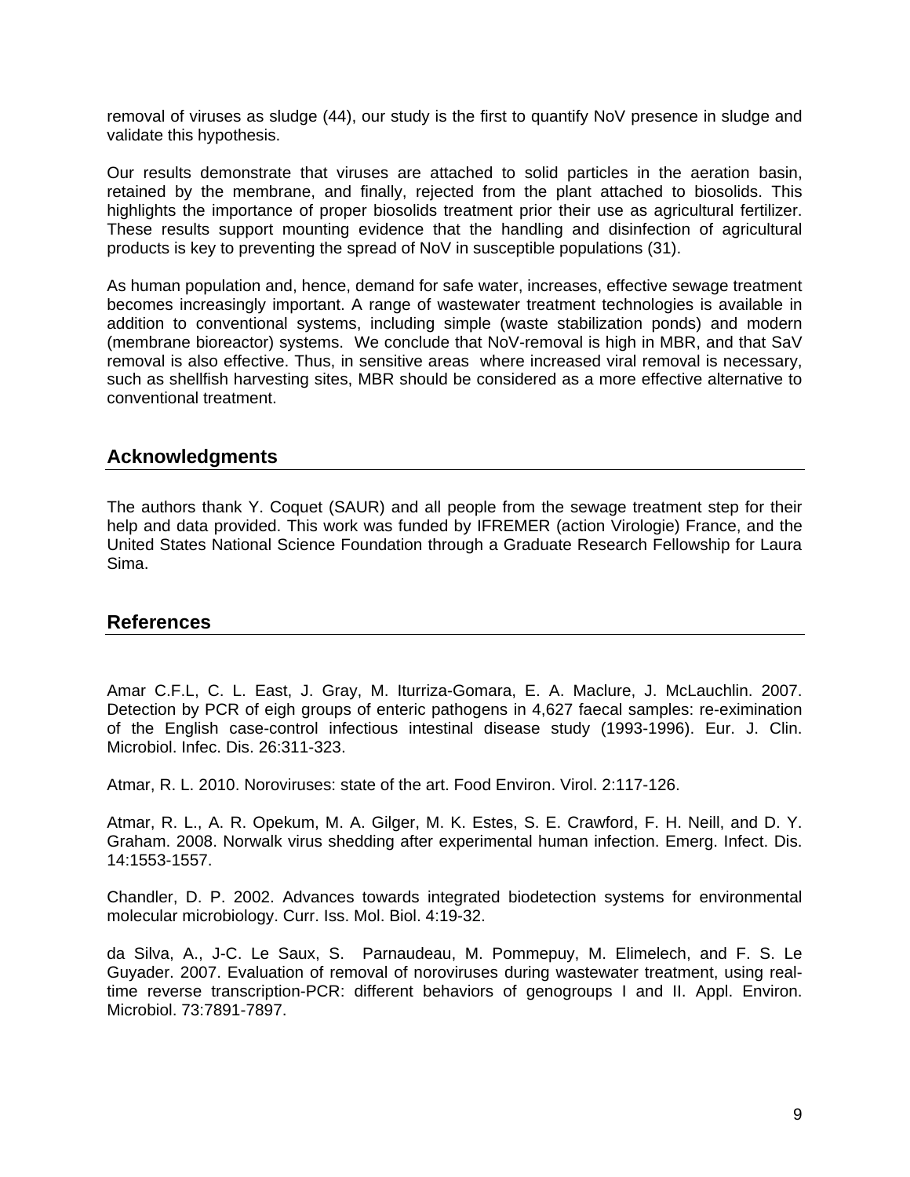removal of viruses as sludge (44), our study is the first to quantify NoV presence in sludge and validate this hypothesis.

Our results demonstrate that viruses are attached to solid particles in the aeration basin, retained by the membrane, and finally, rejected from the plant attached to biosolids. This highlights the importance of proper biosolids treatment prior their use as agricultural fertilizer. These results support mounting evidence that the handling and disinfection of agricultural products is key to preventing the spread of NoV in susceptible populations (31).

As human population and, hence, demand for safe water, increases, effective sewage treatment becomes increasingly important. A range of wastewater treatment technologies is available in addition to conventional systems, including simple (waste stabilization ponds) and modern (membrane bioreactor) systems. We conclude that NoV-removal is high in MBR, and that SaV removal is also effective. Thus, in sensitive areas where increased viral removal is necessary, such as shellfish harvesting sites, MBR should be considered as a more effective alternative to conventional treatment.

## **Acknowledgments**

The authors thank Y. Coquet (SAUR) and all people from the sewage treatment step for their help and data provided. This work was funded by IFREMER (action Virologie) France, and the United States National Science Foundation through a Graduate Research Fellowship for Laura Sima.

### **References**

Amar C.F.L, C. L. East, J. Gray, M. Iturriza-Gomara, E. A. Maclure, J. McLauchlin. 2007. Detection by PCR of eigh groups of enteric pathogens in 4,627 faecal samples: re-eximination of the English case-control infectious intestinal disease study (1993-1996). Eur. J. Clin. Microbiol. Infec. Dis. 26:311-323.

Atmar, R. L. 2010. Noroviruses: state of the art. Food Environ. Virol. 2:117-126.

Atmar, R. L., A. R. Opekum, M. A. Gilger, M. K. Estes, S. E. Crawford, F. H. Neill, and D. Y. Graham. 2008. Norwalk virus shedding after experimental human infection. Emerg. Infect. Dis. 14:1553-1557.

Chandler, D. P. 2002. Advances towards integrated biodetection systems for environmental molecular microbiology. Curr. Iss. Mol. Biol. 4:19-32.

da Silva, A., J-C. Le Saux, S. Parnaudeau, M. Pommepuy, M. Elimelech, and F. S. Le Guyader. 2007. Evaluation of removal of noroviruses during wastewater treatment, using realtime reverse transcription-PCR: different behaviors of genogroups I and II. Appl. Environ. Microbiol. 73:7891-7897.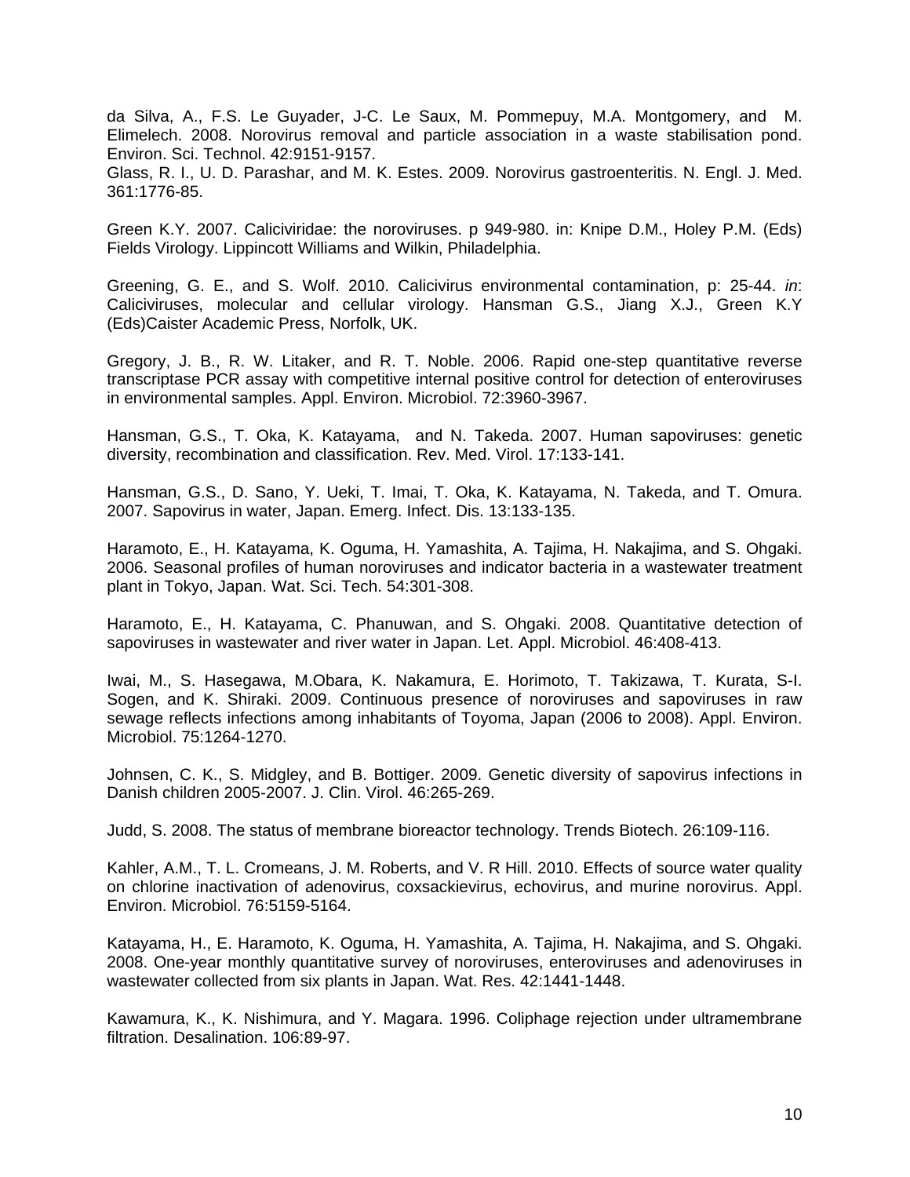da Silva, A., F.S. Le Guyader, J-C. Le Saux, M. Pommepuy, M.A. Montgomery, and M. Elimelech. 2008. Norovirus removal and particle association in a waste stabilisation pond. Environ. Sci. Technol. 42:9151-9157.

Glass, R. I., U. D. Parashar, and M. K. Estes. 2009. Norovirus gastroenteritis. N. Engl. J. Med. 361:1776-85.

Green K.Y. 2007. Caliciviridae: the noroviruses. p 949-980. in: Knipe D.M., Holey P.M. (Eds) Fields Virology. Lippincott Williams and Wilkin, Philadelphia.

Greening, G. E., and S. Wolf. 2010. Calicivirus environmental contamination, p: 25-44. *in*: Caliciviruses, molecular and cellular virology. Hansman G.S., Jiang X.J., Green K.Y (Eds)Caister Academic Press, Norfolk, UK.

Gregory, J. B., R. W. Litaker, and R. T. Noble. 2006. Rapid one-step quantitative reverse transcriptase PCR assay with competitive internal positive control for detection of enteroviruses in environmental samples. Appl. Environ. Microbiol. 72:3960-3967.

Hansman, G.S., T. Oka, K. Katayama, and N. Takeda. 2007. Human sapoviruses: genetic diversity, recombination and classification. Rev. Med. Virol. 17:133-141.

Hansman, G.S., D. Sano, Y. Ueki, T. Imai, T. Oka, K. Katayama, N. Takeda, and T. Omura. 2007. Sapovirus in water, Japan. Emerg. Infect. Dis. 13:133-135.

Haramoto, E., H. Katayama, K. Oguma, H. Yamashita, A. Tajima, H. Nakajima, and S. Ohgaki. 2006. Seasonal profiles of human noroviruses and indicator bacteria in a wastewater treatment plant in Tokyo, Japan. Wat. Sci. Tech. 54:301-308.

Haramoto, E., H. Katayama, C. Phanuwan, and S. Ohgaki. 2008. Quantitative detection of sapoviruses in wastewater and river water in Japan. Let. Appl. Microbiol. 46:408-413.

Iwai, M., S. Hasegawa, M.Obara, K. Nakamura, E. Horimoto, T. Takizawa, T. Kurata, S-I. Sogen, and K. Shiraki. 2009. Continuous presence of noroviruses and sapoviruses in raw sewage reflects infections among inhabitants of Toyoma, Japan (2006 to 2008). Appl. Environ. Microbiol. 75:1264-1270.

Johnsen, C. K., S. Midgley, and B. Bottiger. 2009. Genetic diversity of sapovirus infections in Danish children 2005-2007. J. Clin. Virol. 46:265-269.

Judd, S. 2008. The status of membrane bioreactor technology. Trends Biotech. 26:109-116.

Kahler, A.M., T. L. Cromeans, J. M. Roberts, and V. R Hill. 2010. Effects of source water quality on chlorine inactivation of adenovirus, coxsackievirus, echovirus, and murine norovirus. Appl. Environ. Microbiol. 76:5159-5164.

Katayama, H., E. Haramoto, K. Oguma, H. Yamashita, A. Tajima, H. Nakajima, and S. Ohgaki. 2008. One-year monthly quantitative survey of noroviruses, enteroviruses and adenoviruses in wastewater collected from six plants in Japan. Wat. Res. 42:1441-1448.

Kawamura, K., K. Nishimura, and Y. Magara. 1996. Coliphage rejection under ultramembrane filtration. Desalination. 106:89-97.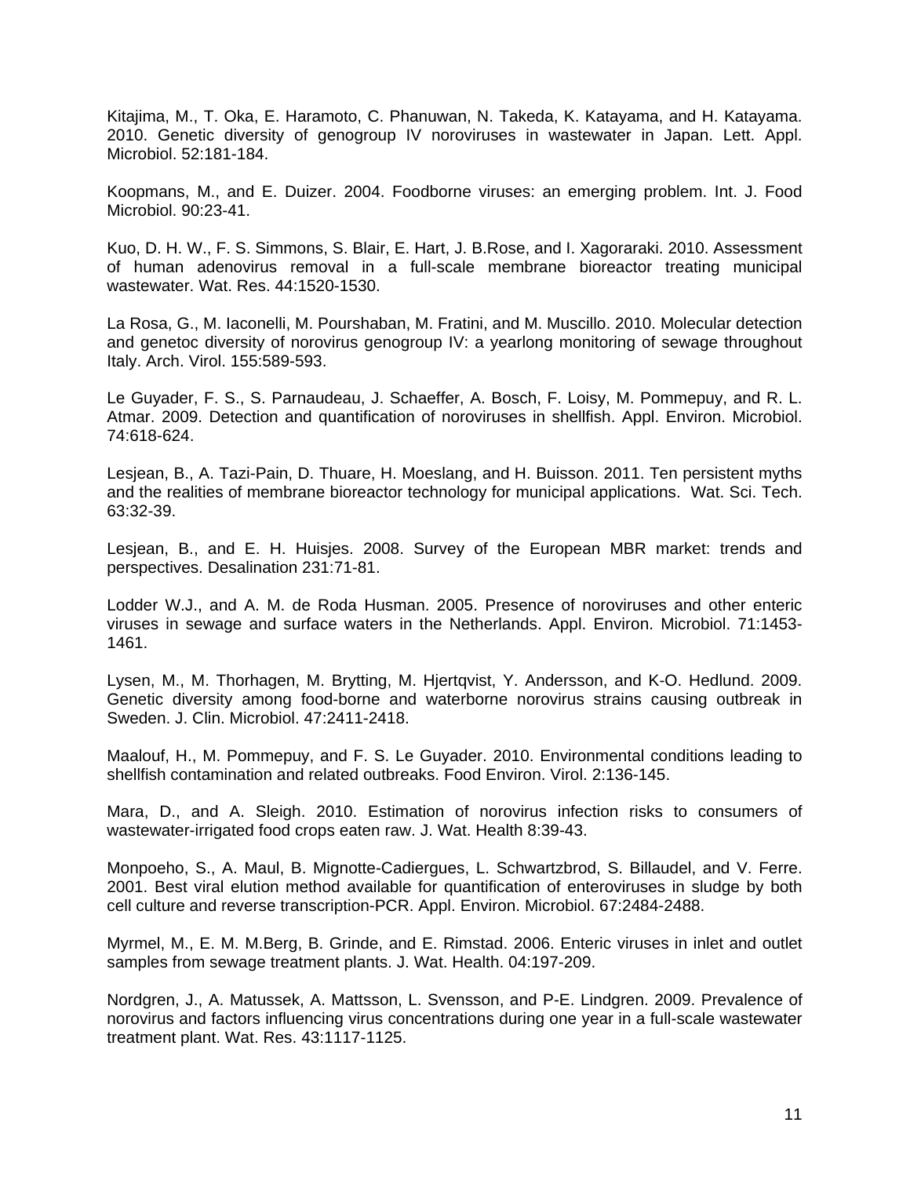Kitajima, M., T. Oka, E. Haramoto, C. Phanuwan, N. Takeda, K. Katayama, and H. Katayama. 2010. Genetic diversity of genogroup IV noroviruses in wastewater in Japan. Lett. Appl. Microbiol. 52:181-184.

Koopmans, M., and E. Duizer. 2004. Foodborne viruses: an emerging problem. Int. J. Food Microbiol. 90:23-41.

Kuo, D. H. W., F. S. Simmons, S. Blair, E. Hart, J. B.Rose, and I. Xagoraraki. 2010. Assessment of human adenovirus removal in a full-scale membrane bioreactor treating municipal wastewater. Wat. Res. 44:1520-1530.

La Rosa, G., M. Iaconelli, M. Pourshaban, M. Fratini, and M. Muscillo. 2010. Molecular detection and genetoc diversity of norovirus genogroup IV: a yearlong monitoring of sewage throughout Italy. Arch. Virol. 155:589-593.

Le Guyader, F. S., S. Parnaudeau, J. Schaeffer, A. Bosch, F. Loisy, M. Pommepuy, and R. L. Atmar. 2009. Detection and quantification of noroviruses in shellfish. Appl. Environ. Microbiol. 74:618-624.

Lesjean, B., A. Tazi-Pain, D. Thuare, H. Moeslang, and H. Buisson. 2011. Ten persistent myths and the realities of membrane bioreactor technology for municipal applications. Wat. Sci. Tech. 63:32-39.

Lesjean, B., and E. H. Huisjes. 2008. Survey of the European MBR market: trends and perspectives. Desalination 231:71-81.

Lodder W.J., and A. M. de Roda Husman. 2005. Presence of noroviruses and other enteric viruses in sewage and surface waters in the Netherlands. Appl. Environ. Microbiol. 71:1453- 1461.

Lysen, M., M. Thorhagen, M. Brytting, M. Hjertqvist, Y. Andersson, and K-O. Hedlund. 2009. Genetic diversity among food-borne and waterborne norovirus strains causing outbreak in Sweden. J. Clin. Microbiol. 47:2411-2418.

Maalouf, H., M. Pommepuy, and F. S. Le Guyader. 2010. Environmental conditions leading to shellfish contamination and related outbreaks. Food Environ. Virol. 2:136-145.

Mara, D., and A. Sleigh. 2010. Estimation of norovirus infection risks to consumers of wastewater-irrigated food crops eaten raw. J. Wat. Health 8:39-43.

Monpoeho, S., A. Maul, B. Mignotte-Cadiergues, L. Schwartzbrod, S. Billaudel, and V. Ferre. 2001. Best viral elution method available for quantification of enteroviruses in sludge by both cell culture and reverse transcription-PCR. Appl. Environ. Microbiol. 67:2484-2488.

Myrmel, M., E. M. M.Berg, B. Grinde, and E. Rimstad. 2006. Enteric viruses in inlet and outlet samples from sewage treatment plants. J. Wat. Health. 04:197-209.

Nordgren, J., A. Matussek, A. Mattsson, L. Svensson, and P-E. Lindgren. 2009. Prevalence of norovirus and factors influencing virus concentrations during one year in a full-scale wastewater treatment plant. Wat. Res. 43:1117-1125.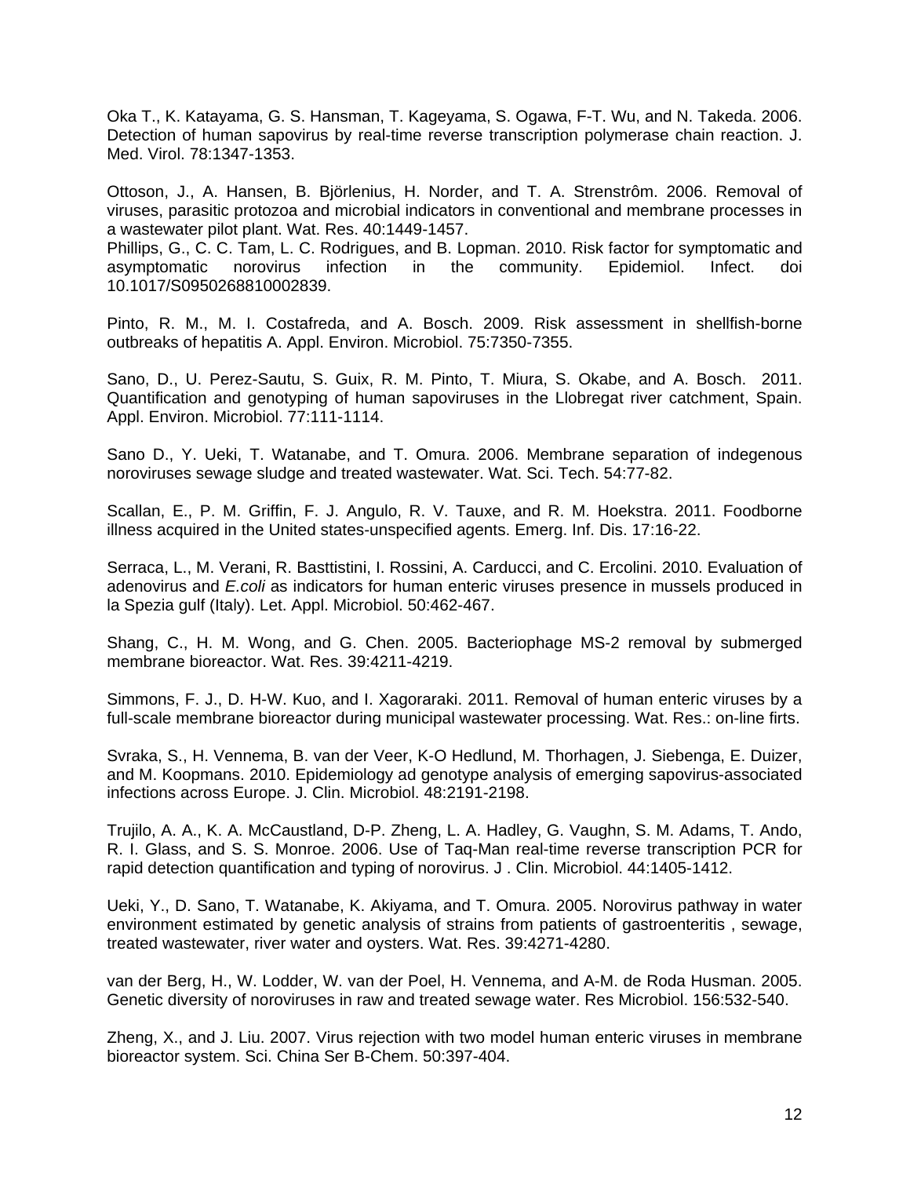Oka T., K. Katayama, G. S. Hansman, T. Kageyama, S. Ogawa, F-T. Wu, and N. Takeda. 2006. Detection of human sapovirus by real-time reverse transcription polymerase chain reaction. J. Med. Virol. 78:1347-1353.

Ottoson, J., A. Hansen, B. Björlenius, H. Norder, and T. A. Strenstrôm. 2006. Removal of viruses, parasitic protozoa and microbial indicators in conventional and membrane processes in a wastewater pilot plant. Wat. Res. 40:1449-1457.

Phillips, G., C. C. Tam, L. C. Rodrigues, and B. Lopman. 2010. Risk factor for symptomatic and asymptomatic norovirus infection in the community. Epidemiol. Infect. doi 10.1017/S0950268810002839.

Pinto, R. M., M. I. Costafreda, and A. Bosch. 2009. Risk assessment in shellfish-borne outbreaks of hepatitis A. Appl. Environ. Microbiol. 75:7350-7355.

Sano, D., U. Perez-Sautu, S. Guix, R. M. Pinto, T. Miura, S. Okabe, and A. Bosch. 2011. Quantification and genotyping of human sapoviruses in the Llobregat river catchment, Spain. Appl. Environ. Microbiol. 77:111-1114.

Sano D., Y. Ueki, T. Watanabe, and T. Omura. 2006. Membrane separation of indegenous noroviruses sewage sludge and treated wastewater. Wat. Sci. Tech. 54:77-82.

Scallan, E., P. M. Griffin, F. J. Angulo, R. V. Tauxe, and R. M. Hoekstra. 2011. Foodborne illness acquired in the United states-unspecified agents. Emerg. Inf. Dis. 17:16-22.

Serraca, L., M. Verani, R. Basttistini, I. Rossini, A. Carducci, and C. Ercolini. 2010. Evaluation of adenovirus and *E.coli* as indicators for human enteric viruses presence in mussels produced in la Spezia gulf (Italy). Let. Appl. Microbiol. 50:462-467.

Shang, C., H. M. Wong, and G. Chen. 2005. Bacteriophage MS-2 removal by submerged membrane bioreactor. Wat. Res. 39:4211-4219.

Simmons, F. J., D. H-W. Kuo, and I. Xagoraraki. 2011. Removal of human enteric viruses by a full-scale membrane bioreactor during municipal wastewater processing. Wat. Res.: on-line firts.

Svraka, S., H. Vennema, B. van der Veer, K-O Hedlund, M. Thorhagen, J. Siebenga, E. Duizer, and M. Koopmans. 2010. Epidemiology ad genotype analysis of emerging sapovirus-associated infections across Europe. J. Clin. Microbiol. 48:2191-2198.

Trujilo, A. A., K. A. McCaustland, D-P. Zheng, L. A. Hadley, G. Vaughn, S. M. Adams, T. Ando, R. I. Glass, and S. S. Monroe. 2006. Use of Taq-Man real-time reverse transcription PCR for rapid detection quantification and typing of norovirus. J . Clin. Microbiol. 44:1405-1412.

Ueki, Y., D. Sano, T. Watanabe, K. Akiyama, and T. Omura. 2005. Norovirus pathway in water environment estimated by genetic analysis of strains from patients of gastroenteritis , sewage, treated wastewater, river water and oysters. Wat. Res. 39:4271-4280.

van der Berg, H., W. Lodder, W. van der Poel, H. Vennema, and A-M. de Roda Husman. 2005. Genetic diversity of noroviruses in raw and treated sewage water. Res Microbiol. 156:532-540.

Zheng, X., and J. Liu. 2007. Virus rejection with two model human enteric viruses in membrane bioreactor system. Sci. China Ser B-Chem. 50:397-404.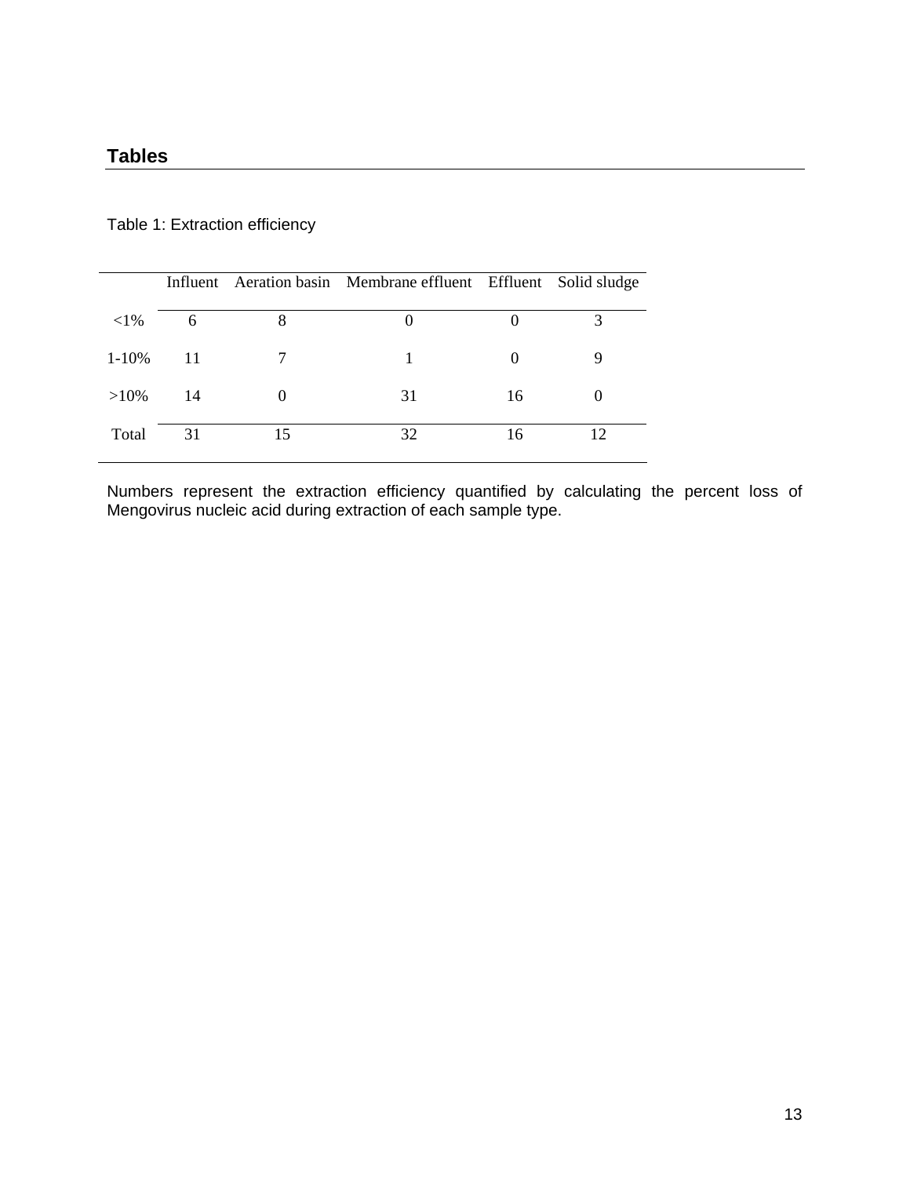# Table 1: Extraction efficiency

|            |     |    | Influent Aeration basin Membrane effluent Effluent Solid sludge |    |  |
|------------|-----|----|-----------------------------------------------------------------|----|--|
| ${<}1\%$   | 6   | 8  |                                                                 |    |  |
| $1 - 10\%$ | -11 |    |                                                                 |    |  |
| $>10\%$    | 14  |    | 31                                                              | 16 |  |
| Total      | 31  | 15 | 32                                                              | 16 |  |

Numbers represent the extraction efficiency quantified by calculating the percent loss of Mengovirus nucleic acid during extraction of each sample type.

<u> 1980 - Johann Barnett, fransk politik (f. 1980)</u>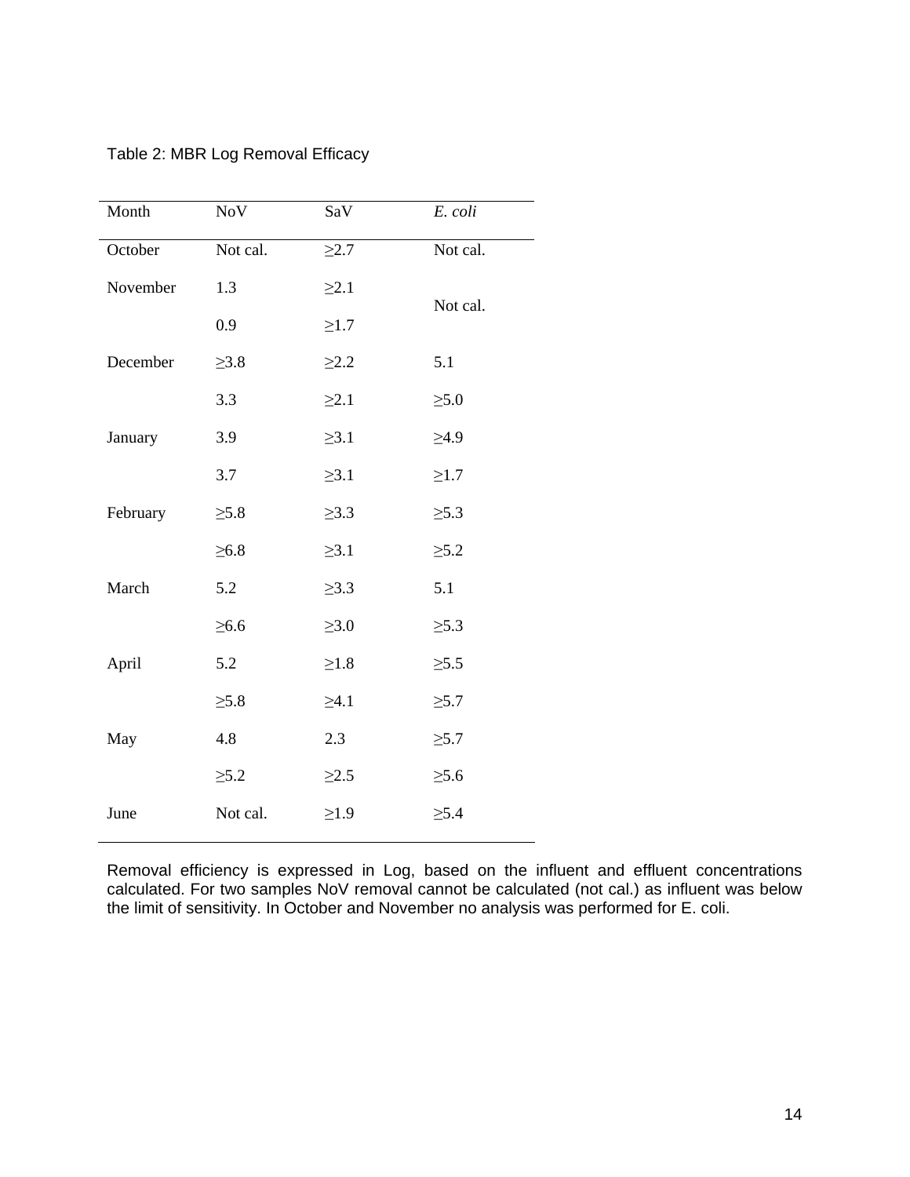| Month    | NoV        | SaV        | E. coli    |  |
|----------|------------|------------|------------|--|
| October  | Not cal.   | $\geq$ 2.7 | Not cal.   |  |
| November | 1.3        | $\geq 2.1$ | Not cal.   |  |
|          | 0.9        | $\geq1.7$  |            |  |
| December | $\geq 3.8$ | $\geq$ 2.2 | 5.1        |  |
|          | 3.3        | $\geq 2.1$ | $\geq 5.0$ |  |
| January  | 3.9        | $\geq 3.1$ | $\geq 4.9$ |  |
|          | 3.7        | $\geq 3.1$ | $\geq1.7$  |  |
| February | $\geq 5.8$ | $\geq$ 3.3 | $\geq 5.3$ |  |
|          | $\geq 6.8$ | $\geq 3.1$ | $\geq 5.2$ |  |
| March    | 5.2        | $\geq 3.3$ | 5.1        |  |
|          | $\geq 6.6$ | $\geq 3.0$ | $\geq 5.3$ |  |
| April    | 5.2        | $\geq1.8$  | $\geq 5.5$ |  |
|          | $\geq 5.8$ | $\geq 4.1$ | $\geq 5.7$ |  |
| May      | 4.8        | 2.3        | $\geq 5.7$ |  |
|          | $\geq 5.2$ | $\geq$ 2.5 | $\geq 5.6$ |  |
| June     | Not cal.   | $\geq1.9$  | $\geq 5.4$ |  |

Table 2: MBR Log Removal Efficacy

Removal efficiency is expressed in Log, based on the influent and effluent concentrations calculated. For two samples NoV removal cannot be calculated (not cal.) as influent was below the limit of sensitivity. In October and November no analysis was performed for E. coli.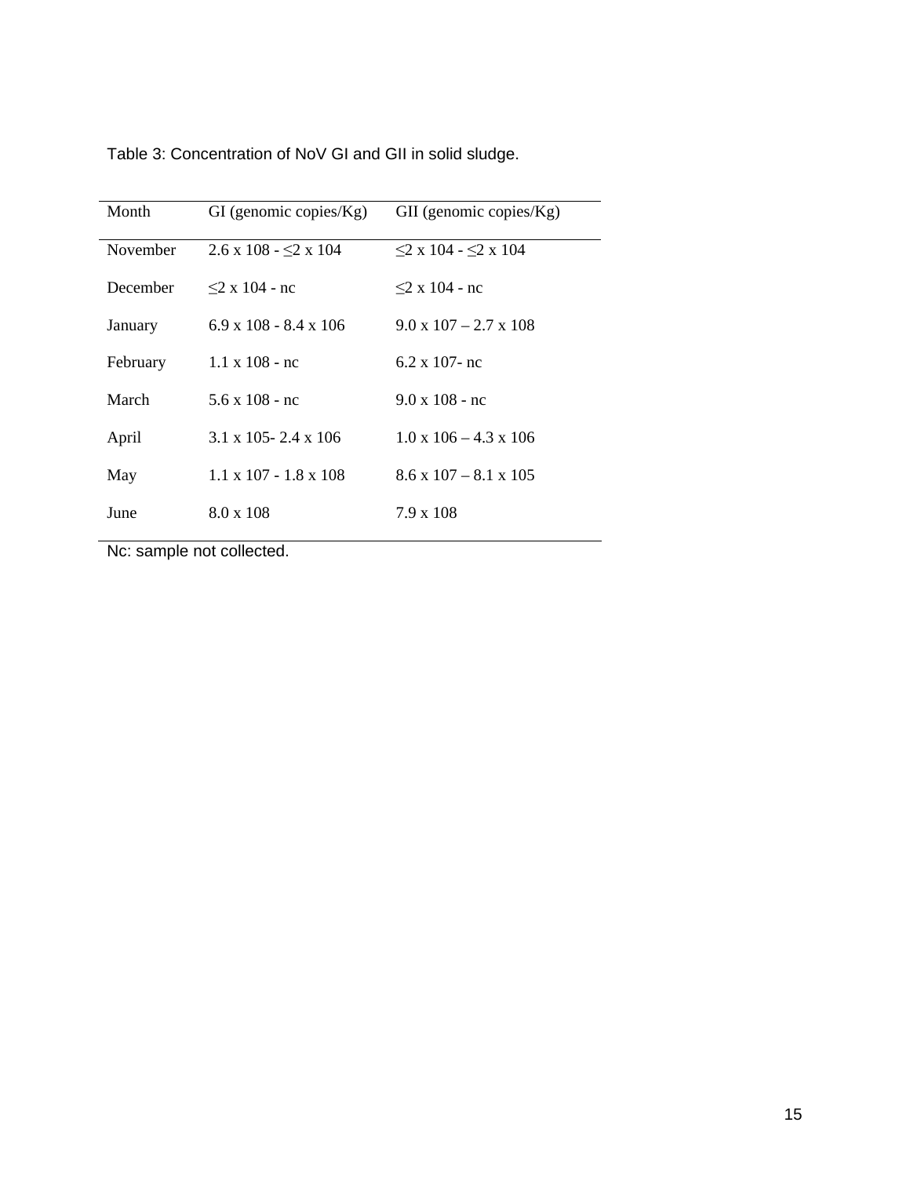| Month    | $GI$ (genomic copies/ $Kg$ )      | $GII$ (genomic copies/ $Kg$ )     |
|----------|-----------------------------------|-----------------------------------|
| November | $2.6 \times 108 - 2 \times 104$   | $\leq$ 2 x 104 - $\leq$ 2 x 104   |
| December | $\leq$ 2 x 104 - nc               | $\leq$ 2 x 104 - nc               |
| January  | $6.9 \times 108 - 8.4 \times 106$ | $9.0 \times 107 - 2.7 \times 108$ |
| February | $1.1 \times 108$ - nc             | $6.2 \times 107$ - nc             |
| March    | $5.6 \times 108 - nc$             | $9.0 \times 108$ - nc             |
| April    | $3.1 \times 105 - 2.4 \times 106$ | $1.0 \times 106 - 4.3 \times 106$ |
| May      | $1.1 \times 107 - 1.8 \times 108$ | $8.6 \times 107 - 8.1 \times 105$ |
| June     | $8.0 \times 108$                  | $7.9 \times 108$                  |

Nc: sample not collected.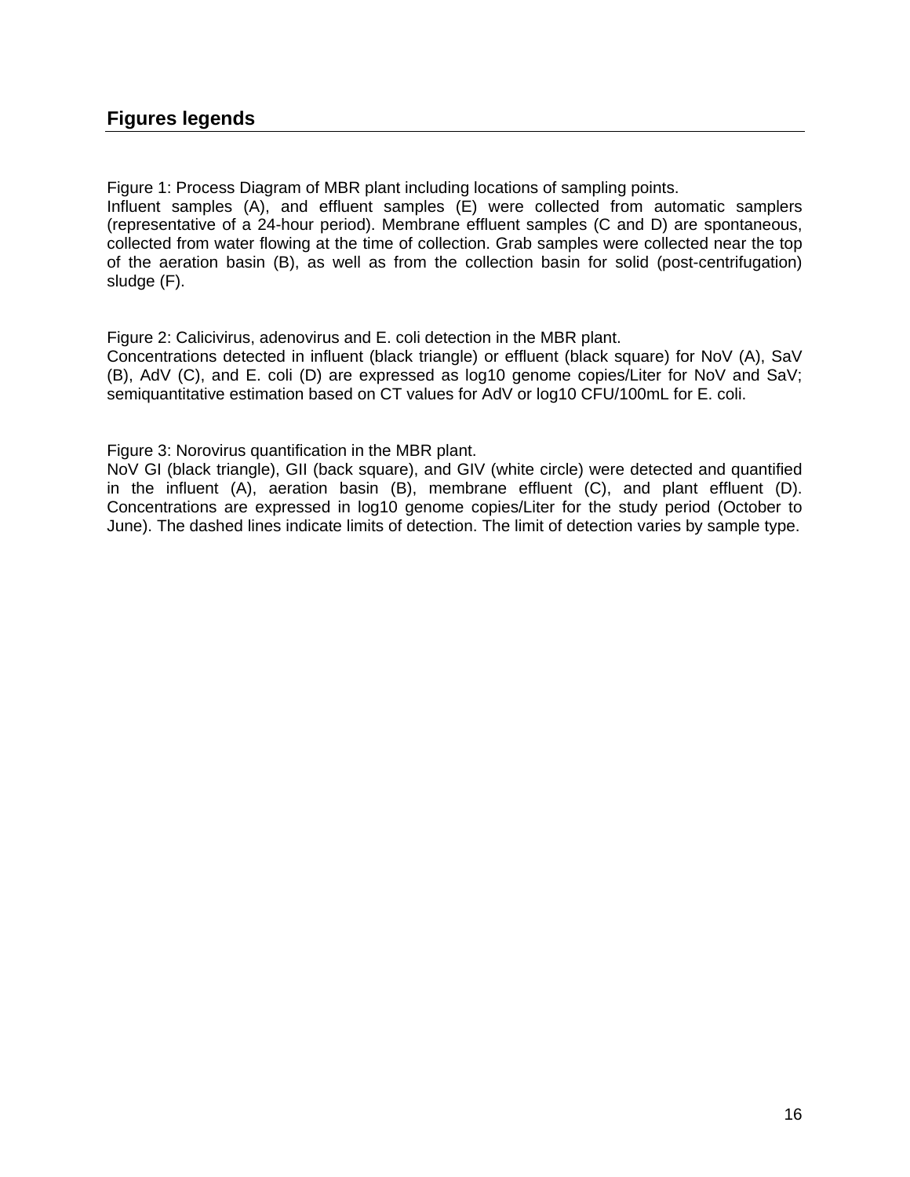# **Figures legends**

Figure 1: Process Diagram of MBR plant including locations of sampling points.

Influent samples (A), and effluent samples (E) were collected from automatic samplers (representative of a 24-hour period). Membrane effluent samples (C and D) are spontaneous, collected from water flowing at the time of collection. Grab samples were collected near the top of the aeration basin (B), as well as from the collection basin for solid (post-centrifugation) sludge (F).

Figure 2: Calicivirus, adenovirus and E. coli detection in the MBR plant.

Concentrations detected in influent (black triangle) or effluent (black square) for NoV (A), SaV (B), AdV (C), and E. coli (D) are expressed as log10 genome copies/Liter for NoV and SaV; semiquantitative estimation based on CT values for AdV or log10 CFU/100mL for E. coli.

Figure 3: Norovirus quantification in the MBR plant.

NoV GI (black triangle), GII (back square), and GIV (white circle) were detected and quantified in the influent (A), aeration basin (B), membrane effluent (C), and plant effluent (D). Concentrations are expressed in log10 genome copies/Liter for the study period (October to June). The dashed lines indicate limits of detection. The limit of detection varies by sample type.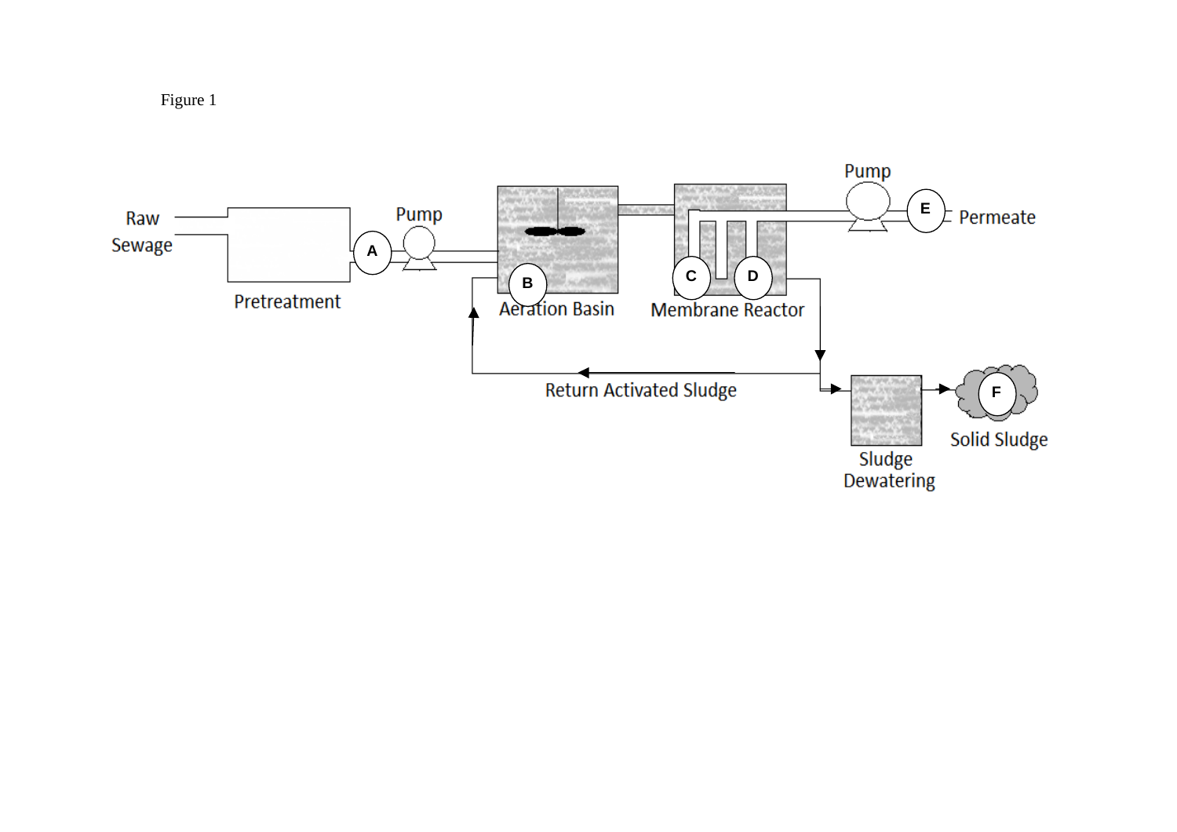Figure 1

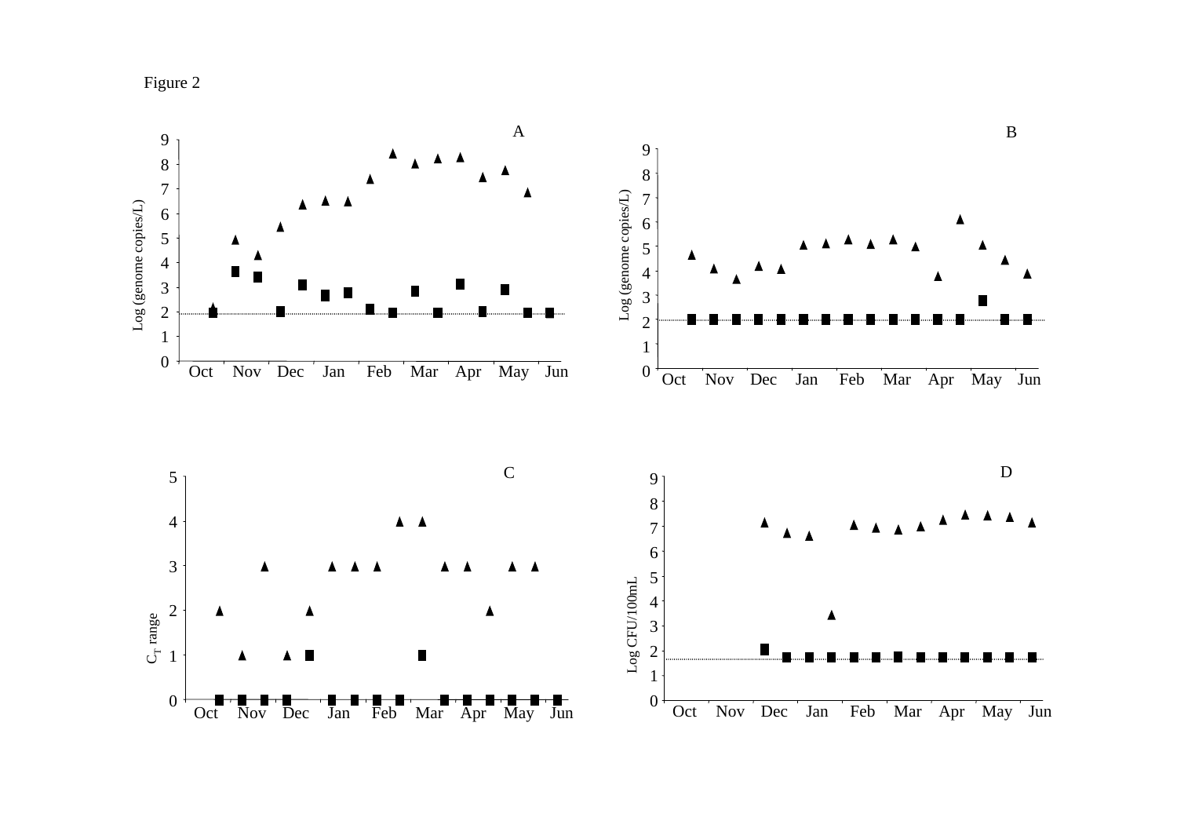